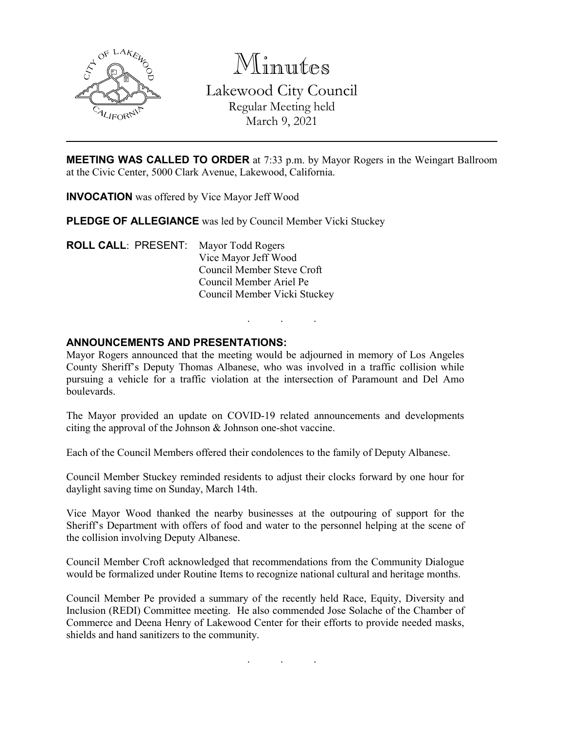

Minutes Lakewood City Council Regular Meeting held March 9, 2021

**MEETING WAS CALLED TO ORDER** at 7:33 p.m. by Mayor Rogers in the Weingart Ballroom at the Civic Center, 5000 Clark Avenue, Lakewood, California.

**INVOCATION** was offered by Vice Mayor Jeff Wood

**PLEDGE OF ALLEGIANCE** was led by Council Member Vicki Stuckey

**ROLL CALL**: PRESENT: Mayor Todd Rogers Vice Mayor Jeff Wood Council Member Steve Croft Council Member Ariel Pe Council Member Vicki Stuckey

### **ANNOUNCEMENTS AND PRESENTATIONS:**

Mayor Rogers announced that the meeting would be adjourned in memory of Los Angeles County Sheriff's Deputy Thomas Albanese, who was involved in a traffic collision while pursuing a vehicle for a traffic violation at the intersection of Paramount and Del Amo boulevards.

. . .

The Mayor provided an update on COVID-19 related announcements and developments citing the approval of the Johnson & Johnson one-shot vaccine.

Each of the Council Members offered their condolences to the family of Deputy Albanese.

Council Member Stuckey reminded residents to adjust their clocks forward by one hour for daylight saving time on Sunday, March 14th.

Vice Mayor Wood thanked the nearby businesses at the outpouring of support for the Sheriff's Department with offers of food and water to the personnel helping at the scene of the collision involving Deputy Albanese.

Council Member Croft acknowledged that recommendations from the Community Dialogue would be formalized under Routine Items to recognize national cultural and heritage months.

Council Member Pe provided a summary of the recently held Race, Equity, Diversity and Inclusion (REDI) Committee meeting. He also commended Jose Solache of the Chamber of Commerce and Deena Henry of Lakewood Center for their efforts to provide needed masks, shields and hand sanitizers to the community.

. . .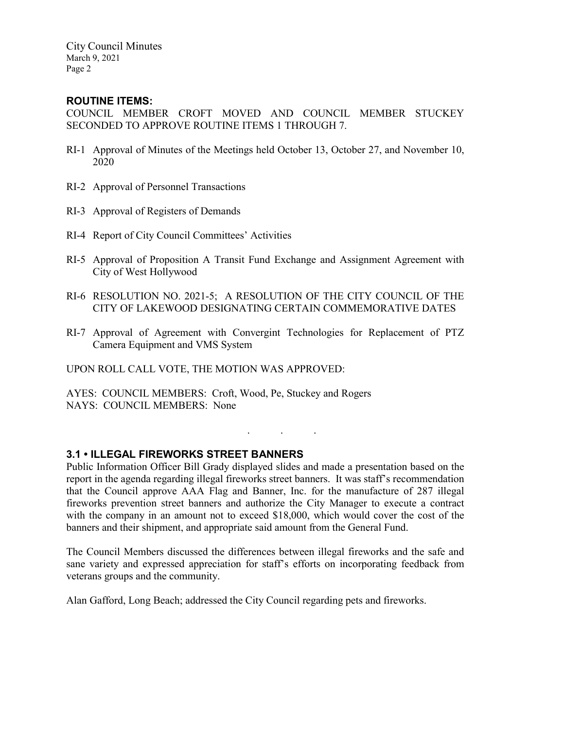City Council Minutes March 9, 2021 Page 2

## **ROUTINE ITEMS:**

COUNCIL MEMBER CROFT MOVED AND COUNCIL MEMBER STUCKEY SECONDED TO APPROVE ROUTINE ITEMS 1 THROUGH 7.

- RI-1 Approval of Minutes of the Meetings held October 13, October 27, and November 10, 2020
- RI-2 Approval of Personnel Transactions
- RI-3 Approval of Registers of Demands
- RI-4 Report of City Council Committees' Activities
- RI-5 Approval of Proposition A Transit Fund Exchange and Assignment Agreement with City of West Hollywood
- RI-6 RESOLUTION NO. 2021-5; A RESOLUTION OF THE CITY COUNCIL OF THE CITY OF LAKEWOOD DESIGNATING CERTAIN COMMEMORATIVE DATES
- RI-7 Approval of Agreement with Convergint Technologies for Replacement of PTZ Camera Equipment and VMS System

UPON ROLL CALL VOTE, THE MOTION WAS APPROVED:

AYES: COUNCIL MEMBERS: Croft, Wood, Pe, Stuckey and Rogers NAYS: COUNCIL MEMBERS: None

## **3.1 • ILLEGAL FIREWORKS STREET BANNERS**

Public Information Officer Bill Grady displayed slides and made a presentation based on the report in the agenda regarding illegal fireworks street banners. It was staff's recommendation that the Council approve AAA Flag and Banner, Inc. for the manufacture of 287 illegal fireworks prevention street banners and authorize the City Manager to execute a contract with the company in an amount not to exceed \$18,000, which would cover the cost of the banners and their shipment, and appropriate said amount from the General Fund.

. . .

The Council Members discussed the differences between illegal fireworks and the safe and sane variety and expressed appreciation for staff's efforts on incorporating feedback from veterans groups and the community.

Alan Gafford, Long Beach; addressed the City Council regarding pets and fireworks.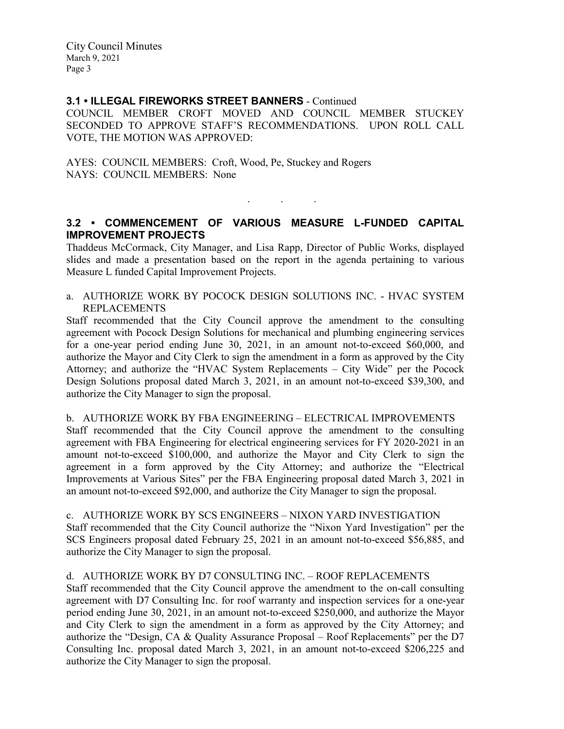City Council Minutes March 9, 2021 Page 3

## **3.1 • ILLEGAL FIREWORKS STREET BANNERS** - Continued

COUNCIL MEMBER CROFT MOVED AND COUNCIL MEMBER STUCKEY SECONDED TO APPROVE STAFF'S RECOMMENDATIONS. UPON ROLL CALL VOTE, THE MOTION WAS APPROVED:

AYES: COUNCIL MEMBERS: Croft, Wood, Pe, Stuckey and Rogers NAYS: COUNCIL MEMBERS: None

# **3.2 • COMMENCEMENT OF VARIOUS MEASURE L-FUNDED CAPITAL IMPROVEMENT PROJECTS**

. . .

Thaddeus McCormack, City Manager, and Lisa Rapp, Director of Public Works, displayed slides and made a presentation based on the report in the agenda pertaining to various Measure L funded Capital Improvement Projects.

a. AUTHORIZE WORK BY POCOCK DESIGN SOLUTIONS INC. - HVAC SYSTEM REPLACEMENTS

Staff recommended that the City Council approve the amendment to the consulting agreement with Pocock Design Solutions for mechanical and plumbing engineering services for a one-year period ending June 30, 2021, in an amount not-to-exceed \$60,000, and authorize the Mayor and City Clerk to sign the amendment in a form as approved by the City Attorney; and authorize the "HVAC System Replacements – City Wide" per the Pocock Design Solutions proposal dated March 3, 2021, in an amount not-to-exceed \$39,300, and authorize the City Manager to sign the proposal.

b. AUTHORIZE WORK BY FBA ENGINEERING – ELECTRICAL IMPROVEMENTS Staff recommended that the City Council approve the amendment to the consulting agreement with FBA Engineering for electrical engineering services for FY 2020-2021 in an amount not-to-exceed \$100,000, and authorize the Mayor and City Clerk to sign the agreement in a form approved by the City Attorney; and authorize the "Electrical Improvements at Various Sites" per the FBA Engineering proposal dated March 3, 2021 in an amount not-to-exceed \$92,000, and authorize the City Manager to sign the proposal.

c. AUTHORIZE WORK BY SCS ENGINEERS – NIXON YARD INVESTIGATION Staff recommended that the City Council authorize the "Nixon Yard Investigation" per the SCS Engineers proposal dated February 25, 2021 in an amount not-to-exceed \$56,885, and authorize the City Manager to sign the proposal.

d. AUTHORIZE WORK BY D7 CONSULTING INC. – ROOF REPLACEMENTS Staff recommended that the City Council approve the amendment to the on-call consulting agreement with D7 Consulting Inc. for roof warranty and inspection services for a one-year period ending June 30, 2021, in an amount not-to-exceed \$250,000, and authorize the Mayor and City Clerk to sign the amendment in a form as approved by the City Attorney; and authorize the "Design, CA & Quality Assurance Proposal – Roof Replacements" per the D7 Consulting Inc. proposal dated March 3, 2021, in an amount not-to-exceed \$206,225 and authorize the City Manager to sign the proposal.